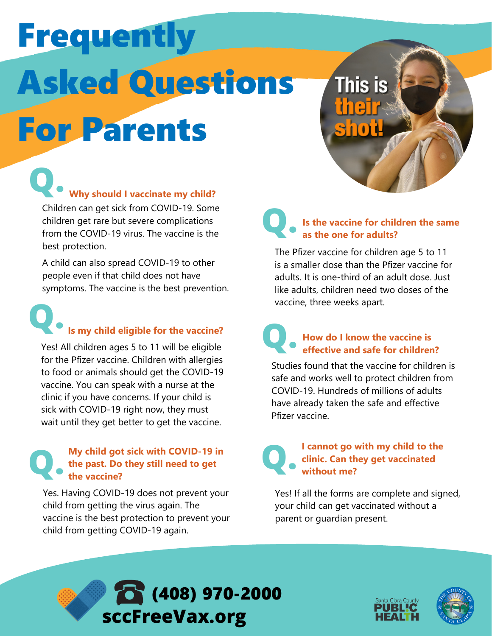# Frequently Asked Questions For Parents

**Q.** Children can get sick from COVID-19. Some **Why should I vaccinate my child?**

children get rare but severe complications from the COVID-19 virus. The vaccine is the best protection.

A child can also spread COVID-19 to other people even if that child does not have symptoms. The vaccine is the best prevention.

## **Q. Is my child eligible for the vaccine?**

Yes! All children ages 5 to 11 will be eligible for the Pfizer vaccine. Children with allergies to food or animals should get the COVID-19 vaccine. You can speak with a nurse at the clinic if you have concerns. If your child is sick with COVID-19 right now, they must wait until they get better to get the vaccine.

#### **Q. My child got sick with COVID-19 in the past. Do they still need to get the vaccine?**

Yes. Having COVID-19 does not prevent your child from getting the virus again. The vaccine is the best protection to prevent your child from getting COVID-19 again.

#### **Q. Is the vaccine for children the same as the one for adults?**

**This is** 

The Pfizer vaccine for children age 5 to 11 is a smaller dose than the Pfizer vaccine for adults. It is one-third of an adult dose. Just like adults, children need two doses of the vaccine, three weeks apart.

#### **Q. How do I know the vaccine is effective and safe for children?**

Studies found that the vaccine for children is safe and works well to protect children from COVID-19. Hundreds of millions of adults have already taken the safe and effective Pfizer vaccine.

## **.**

## **I cannot go with my child to the clinic. Can they get vaccinated Q without me?**

Yes! If all the forms are complete and signed, your child can get vaccinated without a parent or guardian present.